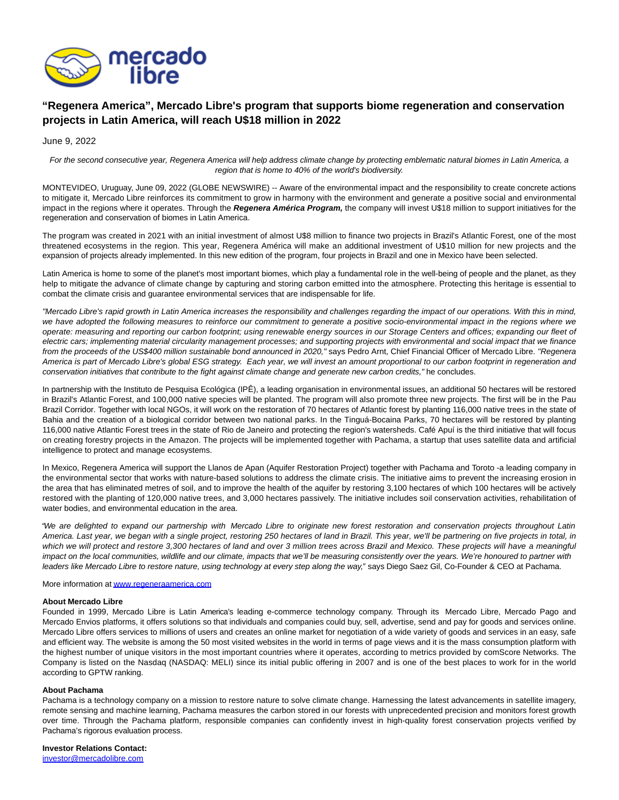

## **"Regenera America", Mercado Libre's program that supports biome regeneration and conservation projects in Latin America, will reach U\$18 million in 2022**

June 9, 2022

For the second consecutive year, Regenera America will help address climate change by protecting emblematic natural biomes in Latin America, a region that is home to 40% of the world's biodiversity.

MONTEVIDEO, Uruguay, June 09, 2022 (GLOBE NEWSWIRE) -- Aware of the environmental impact and the responsibility to create concrete actions to mitigate it, Mercado Libre reinforces its commitment to grow in harmony with the environment and generate a positive social and environmental impact in the regions where it operates. Through the **Regenera América Program,** the company will invest U\$18 million to support initiatives for the regeneration and conservation of biomes in Latin America.

The program was created in 2021 with an initial investment of almost U\$8 million to finance two projects in Brazil's Atlantic Forest, one of the most threatened ecosystems in the region. This year, Regenera América will make an additional investment of U\$10 million for new projects and the expansion of projects already implemented. In this new edition of the program, four projects in Brazil and one in Mexico have been selected.

Latin America is home to some of the planet's most important biomes, which play a fundamental role in the well-being of people and the planet, as they help to mitigate the advance of climate change by capturing and storing carbon emitted into the atmosphere. Protecting this heritage is essential to combat the climate crisis and guarantee environmental services that are indispensable for life.

"Mercado Libre's rapid growth in Latin America increases the responsibility and challenges regarding the impact of our operations. With this in mind, we have adopted the following measures to reinforce our commitment to generate a positive socio-environmental impact in the regions where we operate: measuring and reporting our carbon footprint; using renewable energy sources in our Storage Centers and offices; expanding our fleet of electric cars; implementing material circularity management processes; and supporting projects with environmental and social impact that we finance from the proceeds of the US\$400 million sustainable bond announced in 2020," says Pedro Arnt, Chief Financial Officer of Mercado Libre. "Regenera America is part of Mercado Libre's global ESG strategy. Each year, we will invest an amount proportional to our carbon footprint in regeneration and conservation initiatives that contribute to the fight against climate change and generate new carbon credits," he concludes.

In partnership with the Instituto de Pesquisa Ecológica (IPÊ), a leading organisation in environmental issues, an additional 50 hectares will be restored in Brazil's Atlantic Forest, and 100,000 native species will be planted. The program will also promote three new projects. The first will be in the Pau Brazil Corridor. Together with local NGOs, it will work on the restoration of 70 hectares of Atlantic forest by planting 116,000 native trees in the state of Bahia and the creation of a biological corridor between two national parks. In the Tinguá-Bocaina Parks, 70 hectares will be restored by planting 116,000 native Atlantic Forest trees in the state of Rio de Janeiro and protecting the region's watersheds. Café Apuí is the third initiative that will focus on creating forestry projects in the Amazon. The projects will be implemented together with Pachama, a startup that uses satellite data and artificial intelligence to protect and manage ecosystems.

In Mexico, Regenera America will support the Llanos de Apan (Aquifer Restoration Project) together with Pachama and Toroto -a leading company in the environmental sector that works with nature-based solutions to address the climate crisis. The initiative aims to prevent the increasing erosion in the area that has eliminated metres of soil, and to improve the health of the aquifer by restoring 3,100 hectares of which 100 hectares will be actively restored with the planting of 120,000 native trees, and 3,000 hectares passively. The initiative includes soil conservation activities, rehabilitation of water bodies, and environmental education in the area.

"We are delighted to expand our partnership with Mercado Libre to originate new forest restoration and conservation projects throughout Latin America. Last year, we began with a single project, restoring 250 hectares of land in Brazil. This year, we'll be partnering on five projects in total, in which we will protect and restore 3,300 hectares of land and over 3 million trees across Brazil and Mexico. These projects will have a meaningful impact on the local communities, wildlife and our climate, impacts that we'll be measuring consistently over the years. We're honoured to partner with leaders like Mercado Libre to restore nature, using technology at every step along the way," says Diego Saez Gil, Co-Founder & CEO at Pachama.

More information a[t www.regeneraamerica.com](https://www.globenewswire.com/Tracker?data=dKCYjLKtJj4PAI7RKmggRhn1xgk3q3I88JoImEBP0gJUcHxOeMPQ1tr1HRoQDXS6apeV16vE_p6Jh7Cv1uNVuzUbwNoJVmKSm1Ji1Z3-h-U=)

## **About Mercado Libre**

Founded in 1999, Mercado Libre is Latin America's leading e-commerce technology company. Through its Mercado Libre, Mercado Pago and Mercado Envios platforms, it offers solutions so that individuals and companies could buy, sell, advertise, send and pay for goods and services online. Mercado Libre offers services to millions of users and creates an online market for negotiation of a wide variety of goods and services in an easy, safe and efficient way. The website is among the 50 most visited websites in the world in terms of page views and it is the mass consumption platform with the highest number of unique visitors in the most important countries where it operates, according to metrics provided by comScore Networks. The Company is listed on the Nasdaq (NASDAQ: MELI) since its initial public offering in 2007 and is one of the best places to work for in the world according to GPTW ranking.

## **About Pachama**

Pachama is a technology company on a mission to restore nature to solve climate change. Harnessing the latest advancements in satellite imagery, remote sensing and machine learning, Pachama measures the carbon stored in our forests with unprecedented precision and monitors forest growth over time. Through the Pachama platform, responsible companies can confidently invest in high-quality forest conservation projects verified by Pachama's rigorous evaluation process.

**Investor Relations Contact:**

[investor@mercadolibre.com](https://www.globenewswire.com/Tracker?data=Xo2Y6ADnjjj3nsdQ9p1sY4NAHsnzbjF1pOwKssgHIt-UhJcrlP6pJ62che_W-oRq6-SeIPR8A5nLcCb37dpi47zyzFB3UPGqZ4Bk3YrmMog=)